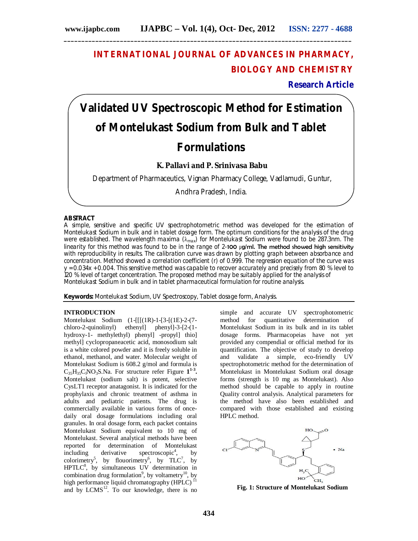# **INTERNATIONAL JOURNAL OF ADVANCES IN PHARMACY, BIOLOGY AND CHEMISTRY**

**Research Article**

# **Validated UV Spectroscopic Method for Estimation of Montelukast Sodium from Bulk and Tablet Formulations**

# **K. Pallavi and P. Srinivasa Babu**

Department of Pharmaceutics, Vignan Pharmacy College, Vadlamudi, Guntur,

Andhra Pradesh, India.

# **ABSTRACT**

A simple, sensitive and specific UV spectrophotometric method was developed for the estimation of Montelukast Sodium in bulk and in tablet dosage form. The optimum conditions for the analysis of the drug were established. The wavelength maxima  $(\lambda_{\text{max}})$  for Montelukast Sodium were found to be 287.3nm. The linearity for this method was found to be in the range of 2-100  $\mu$ g/ml. The method showed high sensitivity with reproducibility in results. The calibration curve was drawn by plotting graph between absorbance and concentration. Method showed a correlation coefficient (r) of 0.999. The regression equation of the curve was y = 0.034x + 0.004. This sensitive method was capable to recover accurately and precisely from 80 % level to 120 % level of target concentration. The proposed method may be suitably applied for the analysis of Montelukast Sodium in bulk and in tablet pharmaceutical formulation for routine analysis.

**Keywords:** Montelukast Sodium, UV Spectroscopy, Tablet dosage form, Analysis.

# **INTRODUCTION**

Montelukast Sodium (1-[[[(1R)-1-[3-[(1E)-2-(7 chloro-2-quinolinyl) ethenyl] phenyl]-3-[2-(1 hydroxy-1- methylethyl) phenyl] -propyl] thio] methyl] cyclopropaneacetic acid, monosodium salt is a white colored powder and it is freely soluble in ethanol, methanol, and water. Molecular weight of Montelukast Sodium is 608.2 g/mol and formula is  $C_{35}H_{35}C_1NO_3S$ . Na. For structure refer Figure  $1^{1-3}$ . Montelukast (sodium salt) is potent, selective CysLT1 receptor anatagonist. It is indicated for the prophylaxis and chronic treatment of asthma in adults and pediatric patients. The drug is commercially available in various forms of oncedaily oral dosage formulations including oral granules. In oral dosage form, each packet contains Montelukast Sodium equivalent to 10 mg of Montelukast. Several analytical methods have been reported for determination of Montelukast  $\text{including}$  derivative spectroscopic<sup>4</sup>, by colorimetry<sup>5</sup>, by flouorimetry<sup>6</sup>, by  $TLC^7$ , by HPTLC<sup>8</sup>, by simultaneous UV determination in combination drug formulation<sup>9</sup>, by voltametry<sup>10</sup>, by high performance liquid chromatography  $(HPLC)$ <sup>11</sup> and by  $LCMS<sup>12</sup>$ . To our knowledge, there is no

simple and accurate UV spectrophotometric<br>method for quantitative determination of method for quantitative Montelukast Sodium in its bulk and in its tablet dosage forms. Pharmacopeias have not yet provided any compendial or official method for its quantification. The objective of study to develop and validate a simple, eco-friendly UV spectrophotometric method for the determination of Montelukast in Montelukast Sodium oral dosage forms (strength is 10 mg as Montelukast). Also method should be capable to apply in routine Quality control analysis. Analytical parameters for the method have also been established and compared with those established and existing HPLC method.



**FIGFig. 1: Structure of Montelukast Sodium**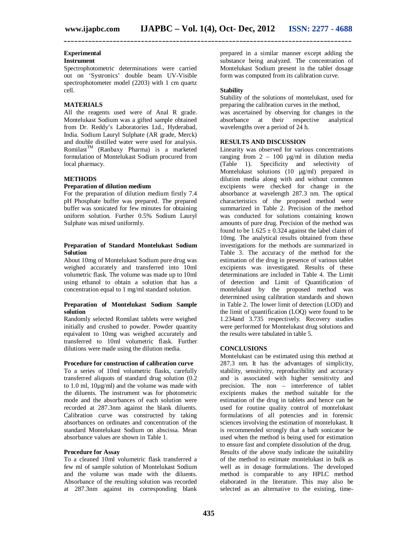# **Experimental**

# **Instrument**

Spectrophotometric determinations were carried out on 'Systronics' double beam UV-Visible spectrophotometer model (2203) with 1 cm quartz cell.

# **MATERIALS**

All the reagents used were of Anal R grade. Montelukast Sodium was a gifted sample obtained from Dr. Reddy's Laboratories Ltd., Hyderabad, India. Sodium Lauryl Sulphate (AR grade, Merck) and double distilled water were used for analysis.  $Romilast^{TM}$  (Ranbaxy Pharma) is a marketed formulation of Montelukast Sodium procured from local pharmacy.

#### **METHODS**

#### **Preparation of dilution medium**

For the preparation of dilution medium firstly 7.4 pH Phosphate buffer was prepared. The prepared buffer was sonicated for few minutes for obtaining uniform solution. Further 0.5% Sodium Lauryl Sulphate was mixed uniformly.

#### **Preparation of Standard Montelukast Sodium Solution**

About 10mg of Montelukast Sodium pure drug was weighed accurately and transferred into 10ml volumetric flask. The volume was made up to 10ml using ethanol to obtain a solution that has a concentration equal to 1 mg/ml standard solution.

## **Preparation of Montelukast Sodium Sample solution**

Randomly selected Romilast tablets were weighed initially and crushed to powder. Powder quantity equivalent to 10mg was weighed accurately and transferred to 10ml volumetric flask. Further dilutions were made using the dilution media.

#### **Procedure for construction of calibration curve**

To a series of 10ml volumetric flasks, carefully transferred aliquots of standard drug solution (0.2 to 1.0 ml, 10µg/ml) and the volume was made with the diluents. The instrument was for photometric mode and the absorbances of each solution were recorded at 287.3nm against the blank diluents. Calibration curve was constructed by taking absorbances on ordinates and concentration of the standard Montelukast Sodium on abscissa. Mean absorbance values are shown in Table 1.

#### **Procedure for Assay**

To a cleaned 10ml volumetric flask transferred a few ml of sample solution of Montelukast Sodium and the volume was made with the diluents. Absorbance of the resulting solution was recorded at 287.3nm against its corresponding blank

prepared in a similar manner except adding the substance being analyzed. The concentration of Montelukast Sodium present in the tablet dosage form was computed from its calibration curve.

## **Stability**

**\_\_\_\_\_\_\_\_\_\_\_\_\_\_\_\_\_\_\_\_\_\_\_\_\_\_\_\_\_\_\_\_\_\_\_\_\_\_\_\_\_\_\_\_\_\_\_\_\_\_\_\_\_\_\_\_\_\_\_\_\_\_\_\_\_\_\_\_\_\_\_\_\_\_\_\_\_\_\_\_\_\_**

Stability of the solutions of montelukast, used for preparing the calibration curves in the method,

was ascertained by observing for changes in the absorbance at their respective analytical respective wavelengths over a period of 24 h.

# **RESULTS AND DISCUSSION**

Linearity was observed for various concentrations ranging from  $2 - 100 \mu g/ml$  in dilution media (Table 1). Specificity and selectivity of Montelukast solutions (10 µg/ml) prepared in dilution media along with and without common excipients were checked for change in the absorbance at wavelength 287.3 nm. The optical characteristics of the proposed method were summarized in Table 2. Precision of the method was conducted for solutions containing known amounts of pure drug. Precision of the method was found to be  $1.625 \pm 0.324$  against the label claim of 10mg. The analytical results obtained from these investigations for the methods are summarized in Table 3. The accuracy of the method for the estimation of the drug in presence of various tablet excipients was investigated. Results of these determinations are included in Table 4. The Limit of detection and Limit of Quantification of montelukast by the proposed method was determined using calibration standards and shown in Table 2. The lower limit of detection (LOD) and the limit of quantification (LOQ) were found to be 1.234and 3.735 respectively. Recovery studies were performed for Montelukast drug solutions and the results were tabulated in table 5.

## **CONCLUSIONS**

Montelukast can be estimated using this method at 287.3 nm. It has the advantages of simplicity, stability, sensitivity, reproducibility and accuracy and is associated with higher sensitivity and precision. The non – interference of tablet excipients makes the method suitable for the estimation of the drug in tablets and hence can be used for routine quality control of montelukast formulations of all potencies and in forensic sciences involving the estimation of montelukast. It is recommended strongly that a bath sonicator be used when the method is being used for estimation to ensure fast and complete dissolution of the drug. Results of the above study indicate the suitability of the method to estimate montelukast in bulk as well as in dosage formulations. The developed method is comparable to any HPLC method elaborated in the literature. This may also be selected as an alternative to the existing, time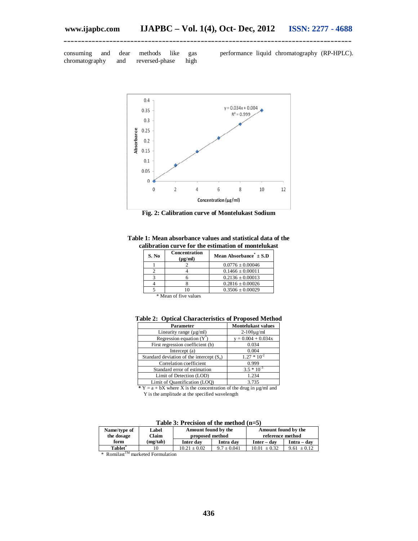consuming and dear methods like gas<br>chromatography and reversed-phase high chromatography and reversed-phase high

performance liquid chromatography (RP-HPLC).



**\_\_\_\_\_\_\_\_\_\_\_\_\_\_\_\_\_\_\_\_\_\_\_\_\_\_\_\_\_\_\_\_\_\_\_\_\_\_\_\_\_\_\_\_\_\_\_\_\_\_\_\_\_\_\_\_\_\_\_\_\_\_\_\_\_\_\_\_\_\_\_\_\_\_\_\_\_\_\_\_\_\_**

**Fig. 2: Calibration curve of Montelukast Sodium**

|  |  | Table 1: Mean absorbance values and statistical data of the |  |
|--|--|-------------------------------------------------------------|--|
|  |  | calibration curve for the estimation of montelukast         |  |

| S. No | Concentration<br>$(\mu g/ml)$ | Mean Absorbance" $\pm$ S.D |
|-------|-------------------------------|----------------------------|
|       |                               | $0.0776 \pm 0.00046$       |
|       |                               | $0.1466 \pm 0.00011$       |
|       |                               | $0.2136 \pm 0.00013$       |
|       |                               | $0.2816 \pm 0.00026$       |
|       |                               | $0.3506 \pm 0.00029$       |

\* Mean of five values

| Parameter                                   | <b>Montelukast values</b> |
|---------------------------------------------|---------------------------|
| Linearity range $(\mu g/ml)$                | $2-100\mu$ g/ml           |
| Regression equation $(Y^{\dagger})$         | $y = 0.004 + 0.034x$      |
| First regression coefficient (b)            | 0.034                     |
| Intercept (a)                               | 0.004                     |
| Standard deviation of the intercept $(S_a)$ | $1.27 * 10^{-2}$          |
| Correlation coefficient                     | 0.999                     |
| Standard error of estimation                | $3.5 * 10^{-3}$           |
| Limit of Detection (LOD)                    | 1.234                     |
| Limit of Quantification (LOO)               | 3.735                     |

**Table 2: Optical Characteristics of Proposed Method**

**\***  $Y = a + bX$  where X is the concentration of the drug in  $\mu$ g/ml and Y is the amplitude at the specified wavelength

#### **Table 3: Precision of the method (n=5)**

| Name/type of<br>the dosage | Label<br>Claim | Amount found by the<br>proposed method |               | Amount found by the<br>reference method |               |
|----------------------------|----------------|----------------------------------------|---------------|-----------------------------------------|---------------|
| form                       | (mg/tab)       | Inter day                              | Intra dav     | $Inter - dav$                           | Intra – dav   |
| <b>Tablet</b>              |                | $10.21 + 0.02$                         | $9.7 + 0.041$ | $10.01 + 0.32$                          | $9.61 + 0.12$ |

\* Romilast<sup>TM</sup> marketed Formulation